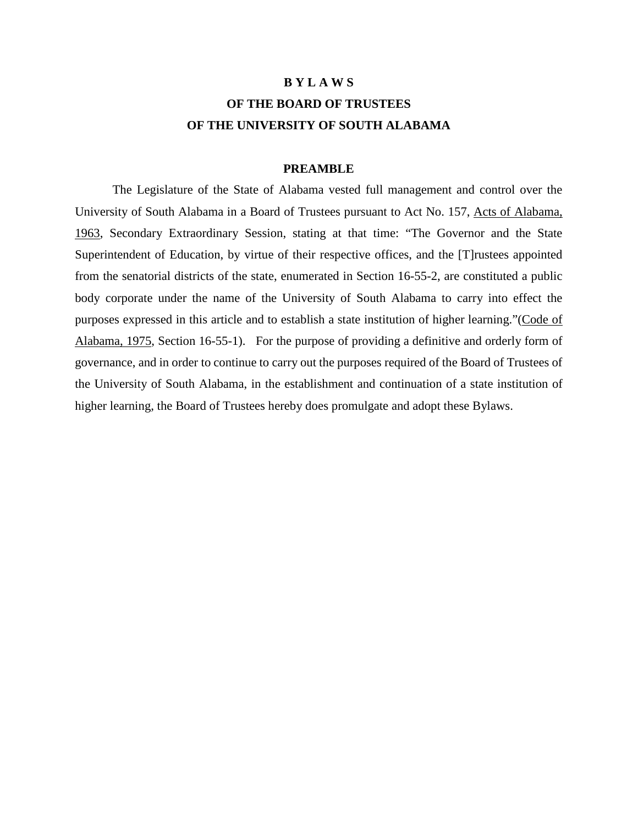# **B Y L A W S OF THE BOARD OF TRUSTEES OF THE UNIVERSITY OF SOUTH ALABAMA**

#### **PREAMBLE**

The Legislature of the State of Alabama vested full management and control over the University of South Alabama in a Board of Trustees pursuant to Act No. 157, Acts of Alabama, 1963, Secondary Extraordinary Session, stating at that time: "The Governor and the State Superintendent of Education, by virtue of their respective offices, and the [T]rustees appointed from the senatorial districts of the state, enumerated in Section 16-55-2, are constituted a public body corporate under the name of the University of South Alabama to carry into effect the purposes expressed in this article and to establish a state institution of higher learning."(Code of Alabama, 1975, Section 16-55-1). For the purpose of providing a definitive and orderly form of governance, and in order to continue to carry out the purposes required of the Board of Trustees of the University of South Alabama, in the establishment and continuation of a state institution of higher learning, the Board of Trustees hereby does promulgate and adopt these Bylaws.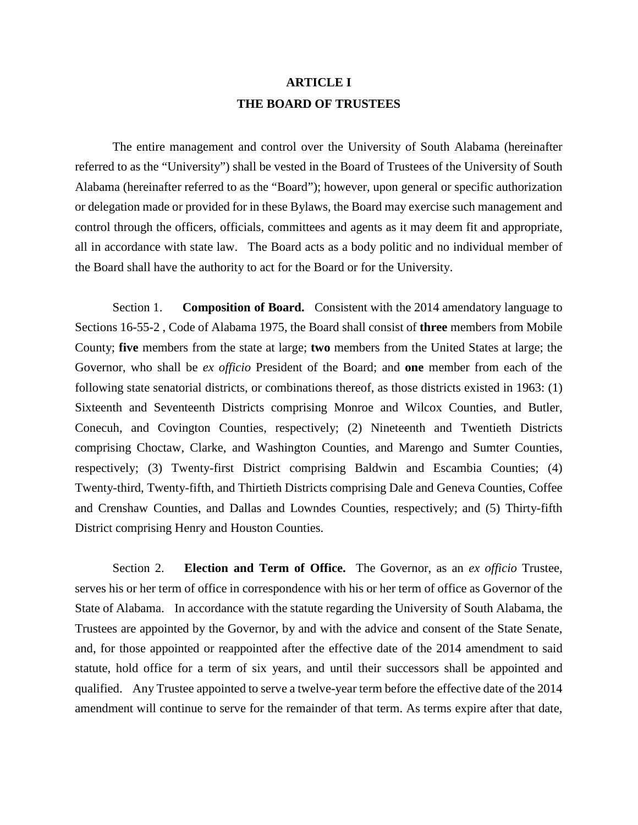### **ARTICLE I THE BOARD OF TRUSTEES**

The entire management and control over the University of South Alabama (hereinafter referred to as the "University") shall be vested in the Board of Trustees of the University of South Alabama (hereinafter referred to as the "Board"); however, upon general or specific authorization or delegation made or provided for in these Bylaws, the Board may exercise such management and control through the officers, officials, committees and agents as it may deem fit and appropriate, all in accordance with state law. The Board acts as a body politic and no individual member of the Board shall have the authority to act for the Board or for the University.

Section 1. **Composition of Board.** Consistent with the 2014 amendatory language to Sections 16-55-2 , Code of Alabama 1975, the Board shall consist of **three** members from Mobile County; **five** members from the state at large; **two** members from the United States at large; the Governor, who shall be *ex officio* President of the Board; and **one** member from each of the following state senatorial districts, or combinations thereof, as those districts existed in 1963: (1) Sixteenth and Seventeenth Districts comprising Monroe and Wilcox Counties, and Butler, Conecuh, and Covington Counties, respectively; (2) Nineteenth and Twentieth Districts comprising Choctaw, Clarke, and Washington Counties, and Marengo and Sumter Counties, respectively; (3) Twenty-first District comprising Baldwin and Escambia Counties; (4) Twenty-third, Twenty-fifth, and Thirtieth Districts comprising Dale and Geneva Counties, Coffee and Crenshaw Counties, and Dallas and Lowndes Counties, respectively; and (5) Thirty-fifth District comprising Henry and Houston Counties.

Section 2. **Election and Term of Office.** The Governor, as an *ex officio* Trustee, serves his or her term of office in correspondence with his or her term of office as Governor of the State of Alabama. In accordance with the statute regarding the University of South Alabama, the Trustees are appointed by the Governor, by and with the advice and consent of the State Senate, and, for those appointed or reappointed after the effective date of the 2014 amendment to said statute, hold office for a term of six years, and until their successors shall be appointed and qualified. Any Trustee appointed to serve a twelve-year term before the effective date of the 2014 amendment will continue to serve for the remainder of that term. As terms expire after that date,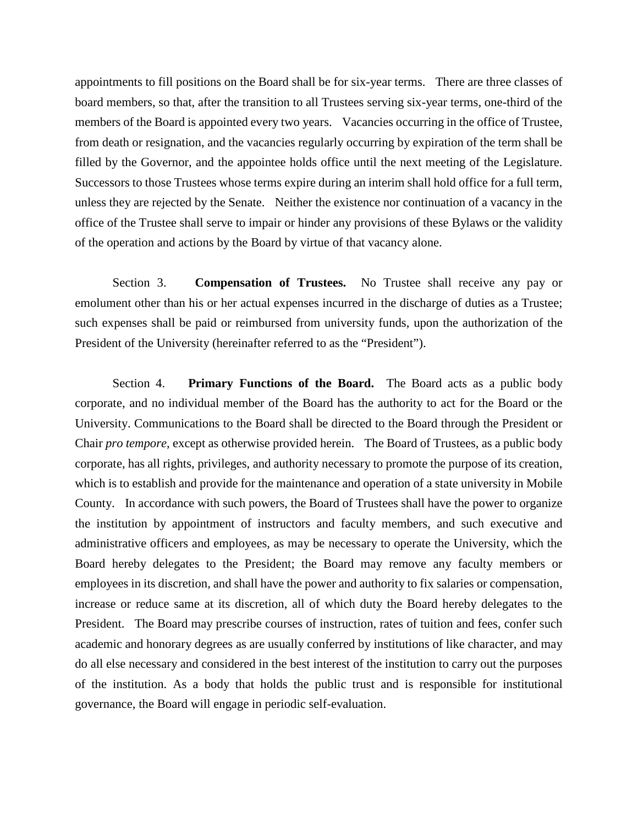appointments to fill positions on the Board shall be for six-year terms. There are three classes of board members, so that, after the transition to all Trustees serving six-year terms, one-third of the members of the Board is appointed every two years. Vacancies occurring in the office of Trustee, from death or resignation, and the vacancies regularly occurring by expiration of the term shall be filled by the Governor, and the appointee holds office until the next meeting of the Legislature. Successors to those Trustees whose terms expire during an interim shall hold office for a full term, unless they are rejected by the Senate. Neither the existence nor continuation of a vacancy in the office of the Trustee shall serve to impair or hinder any provisions of these Bylaws or the validity of the operation and actions by the Board by virtue of that vacancy alone.

Section 3. **Compensation of Trustees.** No Trustee shall receive any pay or emolument other than his or her actual expenses incurred in the discharge of duties as a Trustee; such expenses shall be paid or reimbursed from university funds, upon the authorization of the President of the University (hereinafter referred to as the "President").

Section 4. **Primary Functions of the Board.** The Board acts as a public body corporate, and no individual member of the Board has the authority to act for the Board or the University. Communications to the Board shall be directed to the Board through the President or Chair *pro tempore*, except as otherwise provided herein. The Board of Trustees, as a public body corporate, has all rights, privileges, and authority necessary to promote the purpose of its creation, which is to establish and provide for the maintenance and operation of a state university in Mobile County. In accordance with such powers, the Board of Trustees shall have the power to organize the institution by appointment of instructors and faculty members, and such executive and administrative officers and employees, as may be necessary to operate the University, which the Board hereby delegates to the President; the Board may remove any faculty members or employees in its discretion, and shall have the power and authority to fix salaries or compensation, increase or reduce same at its discretion, all of which duty the Board hereby delegates to the President. The Board may prescribe courses of instruction, rates of tuition and fees, confer such academic and honorary degrees as are usually conferred by institutions of like character, and may do all else necessary and considered in the best interest of the institution to carry out the purposes of the institution. As a body that holds the public trust and is responsible for institutional governance, the Board will engage in periodic self-evaluation.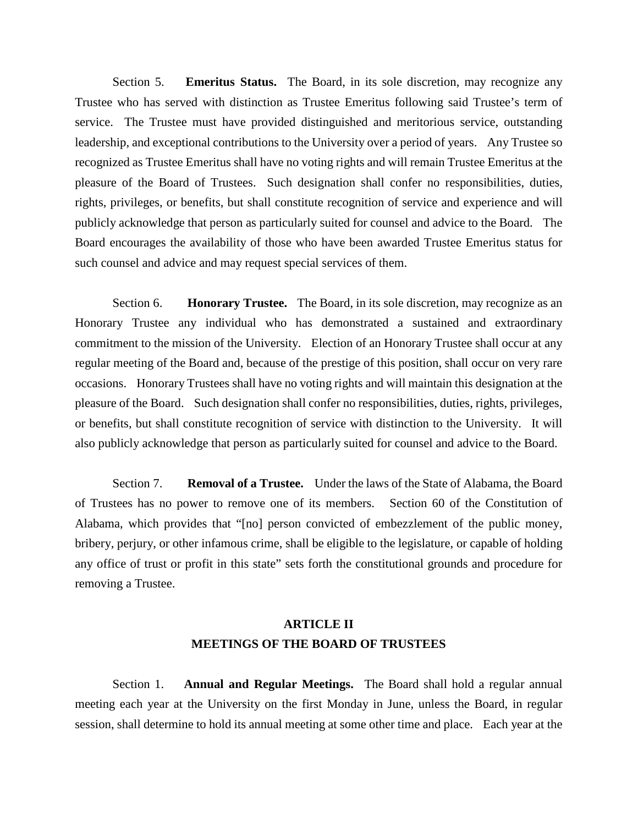Section 5. **Emeritus Status.** The Board, in its sole discretion, may recognize any Trustee who has served with distinction as Trustee Emeritus following said Trustee's term of service. The Trustee must have provided distinguished and meritorious service, outstanding leadership, and exceptional contributions to the University over a period of years. Any Trustee so recognized as Trustee Emeritus shall have no voting rights and will remain Trustee Emeritus at the pleasure of the Board of Trustees. Such designation shall confer no responsibilities, duties, rights, privileges, or benefits, but shall constitute recognition of service and experience and will publicly acknowledge that person as particularly suited for counsel and advice to the Board. The Board encourages the availability of those who have been awarded Trustee Emeritus status for such counsel and advice and may request special services of them.

Section 6. **Honorary Trustee.** The Board, in its sole discretion, may recognize as an Honorary Trustee any individual who has demonstrated a sustained and extraordinary commitment to the mission of the University. Election of an Honorary Trustee shall occur at any regular meeting of the Board and, because of the prestige of this position, shall occur on very rare occasions. Honorary Trustees shall have no voting rights and will maintain this designation at the pleasure of the Board. Such designation shall confer no responsibilities, duties, rights, privileges, or benefits, but shall constitute recognition of service with distinction to the University. It will also publicly acknowledge that person as particularly suited for counsel and advice to the Board.

Section 7. **Removal of a Trustee.** Under the laws of the State of Alabama, the Board of Trustees has no power to remove one of its members. Section 60 of the Constitution of Alabama, which provides that "[no] person convicted of embezzlement of the public money, bribery, perjury, or other infamous crime, shall be eligible to the legislature, or capable of holding any office of trust or profit in this state" sets forth the constitutional grounds and procedure for removing a Trustee.

### **ARTICLE II MEETINGS OF THE BOARD OF TRUSTEES**

Section 1. **Annual and Regular Meetings.** The Board shall hold a regular annual meeting each year at the University on the first Monday in June, unless the Board, in regular session, shall determine to hold its annual meeting at some other time and place. Each year at the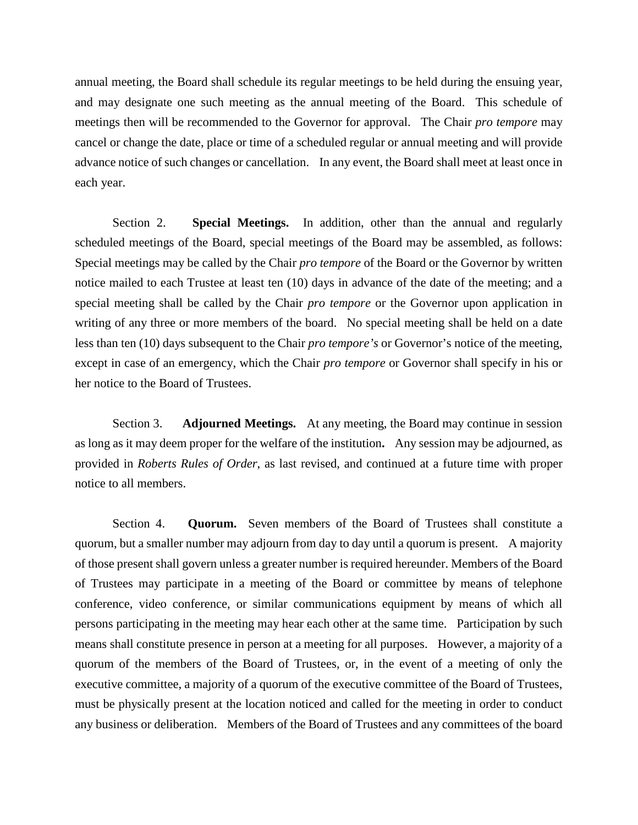annual meeting, the Board shall schedule its regular meetings to be held during the ensuing year, and may designate one such meeting as the annual meeting of the Board. This schedule of meetings then will be recommended to the Governor for approval. The Chair *pro tempore* may cancel or change the date, place or time of a scheduled regular or annual meeting and will provide advance notice of such changes or cancellation. In any event, the Board shall meet at least once in each year.

Section 2. **Special Meetings.** In addition, other than the annual and regularly scheduled meetings of the Board, special meetings of the Board may be assembled, as follows: Special meetings may be called by the Chair *pro tempore* of the Board or the Governor by written notice mailed to each Trustee at least ten (10) days in advance of the date of the meeting; and a special meeting shall be called by the Chair *pro tempore* or the Governor upon application in writing of any three or more members of the board. No special meeting shall be held on a date less than ten (10) days subsequent to the Chair *pro tempore's* or Governor's notice of the meeting, except in case of an emergency, which the Chair *pro tempore* or Governor shall specify in his or her notice to the Board of Trustees.

Section 3. **Adjourned Meetings.** At any meeting, the Board may continue in session as long as it may deem proper for the welfare of the institution**.** Any session may be adjourned, as provided in *Roberts Rules of Order*, as last revised, and continued at a future time with proper notice to all members.

Section 4. **Quorum.** Seven members of the Board of Trustees shall constitute a quorum, but a smaller number may adjourn from day to day until a quorum is present. A majority of those present shall govern unless a greater number is required hereunder. Members of the Board of Trustees may participate in a meeting of the Board or committee by means of telephone conference, video conference, or similar communications equipment by means of which all persons participating in the meeting may hear each other at the same time. Participation by such means shall constitute presence in person at a meeting for all purposes. However, a majority of a quorum of the members of the Board of Trustees, or, in the event of a meeting of only the executive committee, a majority of a quorum of the executive committee of the Board of Trustees, must be physically present at the location noticed and called for the meeting in order to conduct any business or deliberation. Members of the Board of Trustees and any committees of the board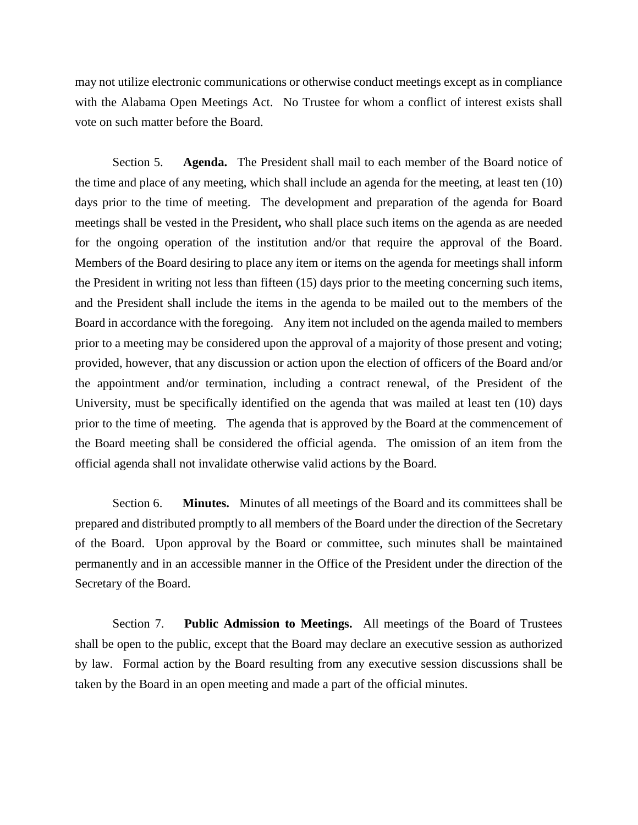may not utilize electronic communications or otherwise conduct meetings except as in compliance with the Alabama Open Meetings Act. No Trustee for whom a conflict of interest exists shall vote on such matter before the Board.

Section 5. **Agenda.** The President shall mail to each member of the Board notice of the time and place of any meeting, which shall include an agenda for the meeting, at least ten (10) days prior to the time of meeting. The development and preparation of the agenda for Board meetings shall be vested in the President**,** who shall place such items on the agenda as are needed for the ongoing operation of the institution and/or that require the approval of the Board. Members of the Board desiring to place any item or items on the agenda for meetings shall inform the President in writing not less than fifteen (15) days prior to the meeting concerning such items, and the President shall include the items in the agenda to be mailed out to the members of the Board in accordance with the foregoing. Any item not included on the agenda mailed to members prior to a meeting may be considered upon the approval of a majority of those present and voting; provided, however, that any discussion or action upon the election of officers of the Board and/or the appointment and/or termination, including a contract renewal, of the President of the University, must be specifically identified on the agenda that was mailed at least ten (10) days prior to the time of meeting. The agenda that is approved by the Board at the commencement of the Board meeting shall be considered the official agenda. The omission of an item from the official agenda shall not invalidate otherwise valid actions by the Board.

Section 6. **Minutes.** Minutes of all meetings of the Board and its committees shall be prepared and distributed promptly to all members of the Board under the direction of the Secretary of the Board. Upon approval by the Board or committee, such minutes shall be maintained permanently and in an accessible manner in the Office of the President under the direction of the Secretary of the Board.

Section 7. **Public Admission to Meetings.** All meetings of the Board of Trustees shall be open to the public, except that the Board may declare an executive session as authorized by law. Formal action by the Board resulting from any executive session discussions shall be taken by the Board in an open meeting and made a part of the official minutes.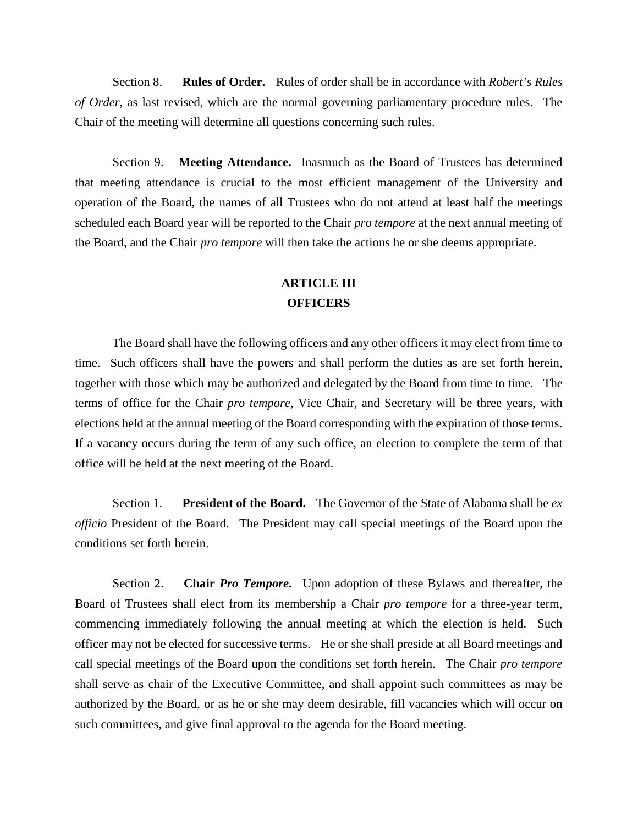Section 8. **Rules of Order.** Rules of order shall be in accordance with *Robert's Rules of Order*, as last revised, which are the normal governing parliamentary procedure rules. The Chair of the meeting will determine all questions concerning such rules.

Section 9. **Meeting Attendance.** Inasmuch as the Board of Trustees has determined that meeting attendance is crucial to the most efficient management of the University and operation of the Board, the names of all Trustees who do not attend at least half the meetings scheduled each Board year will be reported to the Chair *pro tempore* at the next annual meeting of the Board, and the Chair *pro tempore* will then take the actions he or she deems appropriate.

### **ARTICLE III OFFICERS**

The Board shall have the following officers and any other officers it may elect from time to time. Such officers shall have the powers and shall perform the duties as are set forth herein, together with those which may be authorized and delegated by the Board from time to time. The terms of office for the Chair *pro tempore*, Vice Chair, and Secretary will be three years, with elections held at the annual meeting of the Board corresponding with the expiration of those terms. If a vacancy occurs during the term of any such office, an election to complete the term of that office will be held at the next meeting of the Board.

Section 1. **President of the Board.** The Governor of the State of Alabama shall be *ex officio* President of the Board. The President may call special meetings of the Board upon the conditions set forth herein.

Section 2. **Chair** *Pro Tempore***.** Upon adoption of these Bylaws and thereafter, the Board of Trustees shall elect from its membership a Chair *pro tempore* for a three-year term, commencing immediately following the annual meeting at which the election is held. Such officer may not be elected for successive terms. He or she shall preside at all Board meetings and call special meetings of the Board upon the conditions set forth herein. The Chair *pro tempore* shall serve as chair of the Executive Committee, and shall appoint such committees as may be authorized by the Board, or as he or she may deem desirable, fill vacancies which will occur on such committees, and give final approval to the agenda for the Board meeting.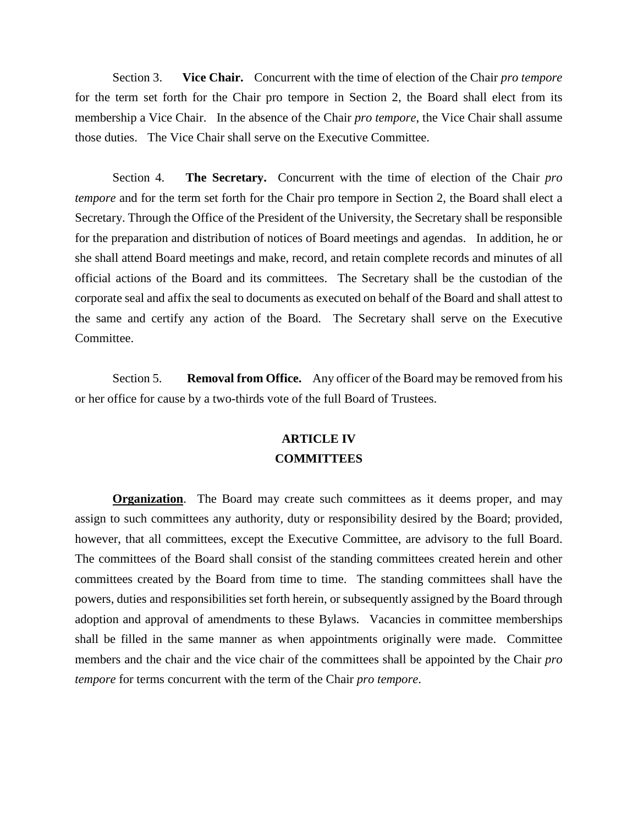Section 3. **Vice Chair.** Concurrent with the time of election of the Chair *pro tempore* for the term set forth for the Chair pro tempore in Section 2, the Board shall elect from its membership a Vice Chair. In the absence of the Chair *pro tempore*, the Vice Chair shall assume those duties. The Vice Chair shall serve on the Executive Committee.

Section 4. **The Secretary.** Concurrent with the time of election of the Chair *pro tempore* and for the term set forth for the Chair pro tempore in Section 2, the Board shall elect a Secretary. Through the Office of the President of the University, the Secretary shall be responsible for the preparation and distribution of notices of Board meetings and agendas. In addition, he or she shall attend Board meetings and make, record, and retain complete records and minutes of all official actions of the Board and its committees. The Secretary shall be the custodian of the corporate seal and affix the seal to documents as executed on behalf of the Board and shall attest to the same and certify any action of the Board. The Secretary shall serve on the Executive Committee.

Section 5. **Removal from Office.** Any officer of the Board may be removed from his or her office for cause by a two-thirds vote of the full Board of Trustees.

#### **ARTICLE IV COMMITTEES**

**Organization**. The Board may create such committees as it deems proper, and may assign to such committees any authority, duty or responsibility desired by the Board; provided, however, that all committees, except the Executive Committee, are advisory to the full Board. The committees of the Board shall consist of the standing committees created herein and other committees created by the Board from time to time. The standing committees shall have the powers, duties and responsibilities set forth herein, or subsequently assigned by the Board through adoption and approval of amendments to these Bylaws. Vacancies in committee memberships shall be filled in the same manner as when appointments originally were made. Committee members and the chair and the vice chair of the committees shall be appointed by the Chair *pro tempore* for terms concurrent with the term of the Chair *pro tempore*.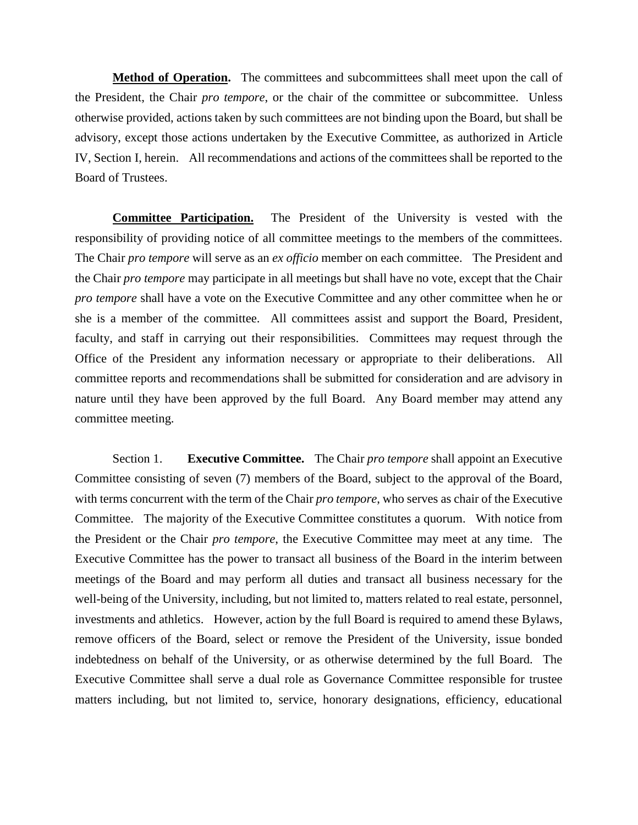**Method of Operation.** The committees and subcommittees shall meet upon the call of the President, the Chair *pro tempore*, or the chair of the committee or subcommittee. Unless otherwise provided, actions taken by such committees are not binding upon the Board, but shall be advisory, except those actions undertaken by the Executive Committee, as authorized in Article IV, Section I, herein. All recommendations and actions of the committees shall be reported to the Board of Trustees.

**Committee Participation.** The President of the University is vested with the responsibility of providing notice of all committee meetings to the members of the committees. The Chair *pro tempore* will serve as an *ex officio* member on each committee. The President and the Chair *pro tempore* may participate in all meetings but shall have no vote, except that the Chair *pro tempore* shall have a vote on the Executive Committee and any other committee when he or she is a member of the committee. All committees assist and support the Board, President, faculty, and staff in carrying out their responsibilities. Committees may request through the Office of the President any information necessary or appropriate to their deliberations. All committee reports and recommendations shall be submitted for consideration and are advisory in nature until they have been approved by the full Board. Any Board member may attend any committee meeting.

Section 1. **Executive Committee.** The Chair *pro tempore* shall appoint an Executive Committee consisting of seven (7) members of the Board, subject to the approval of the Board, with terms concurrent with the term of the Chair *pro tempore*, who serves as chair of the Executive Committee. The majority of the Executive Committee constitutes a quorum. With notice from the President or the Chair *pro tempore*, the Executive Committee may meet at any time. The Executive Committee has the power to transact all business of the Board in the interim between meetings of the Board and may perform all duties and transact all business necessary for the well-being of the University, including, but not limited to, matters related to real estate, personnel, investments and athletics. However, action by the full Board is required to amend these Bylaws, remove officers of the Board, select or remove the President of the University, issue bonded indebtedness on behalf of the University, or as otherwise determined by the full Board. The Executive Committee shall serve a dual role as Governance Committee responsible for trustee matters including, but not limited to, service, honorary designations, efficiency, educational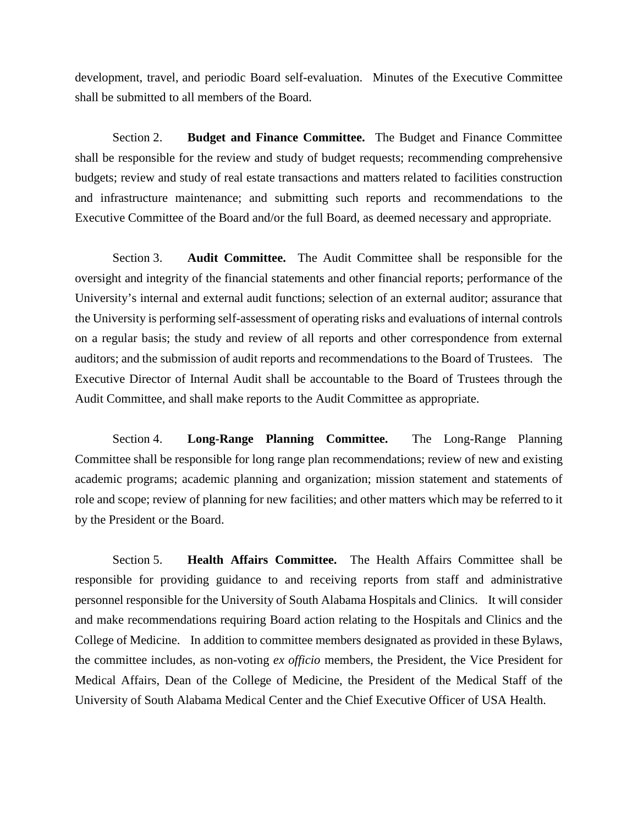development, travel, and periodic Board self-evaluation. Minutes of the Executive Committee shall be submitted to all members of the Board.

Section 2. **Budget and Finance Committee.** The Budget and Finance Committee shall be responsible for the review and study of budget requests; recommending comprehensive budgets; review and study of real estate transactions and matters related to facilities construction and infrastructure maintenance; and submitting such reports and recommendations to the Executive Committee of the Board and/or the full Board, as deemed necessary and appropriate.

Section 3. **Audit Committee.** The Audit Committee shall be responsible for the oversight and integrity of the financial statements and other financial reports; performance of the University's internal and external audit functions; selection of an external auditor; assurance that the University is performing self-assessment of operating risks and evaluations of internal controls on a regular basis; the study and review of all reports and other correspondence from external auditors; and the submission of audit reports and recommendations to the Board of Trustees. The Executive Director of Internal Audit shall be accountable to the Board of Trustees through the Audit Committee, and shall make reports to the Audit Committee as appropriate.

Section 4. **Long-Range Planning Committee.** The Long-Range Planning Committee shall be responsible for long range plan recommendations; review of new and existing academic programs; academic planning and organization; mission statement and statements of role and scope; review of planning for new facilities; and other matters which may be referred to it by the President or the Board.

Section 5. **Health Affairs Committee.** The Health Affairs Committee shall be responsible for providing guidance to and receiving reports from staff and administrative personnel responsible for the University of South Alabama Hospitals and Clinics. It will consider and make recommendations requiring Board action relating to the Hospitals and Clinics and the College of Medicine. In addition to committee members designated as provided in these Bylaws, the committee includes, as non-voting *ex officio* members, the President, the Vice President for Medical Affairs, Dean of the College of Medicine, the President of the Medical Staff of the University of South Alabama Medical Center and the Chief Executive Officer of USA Health.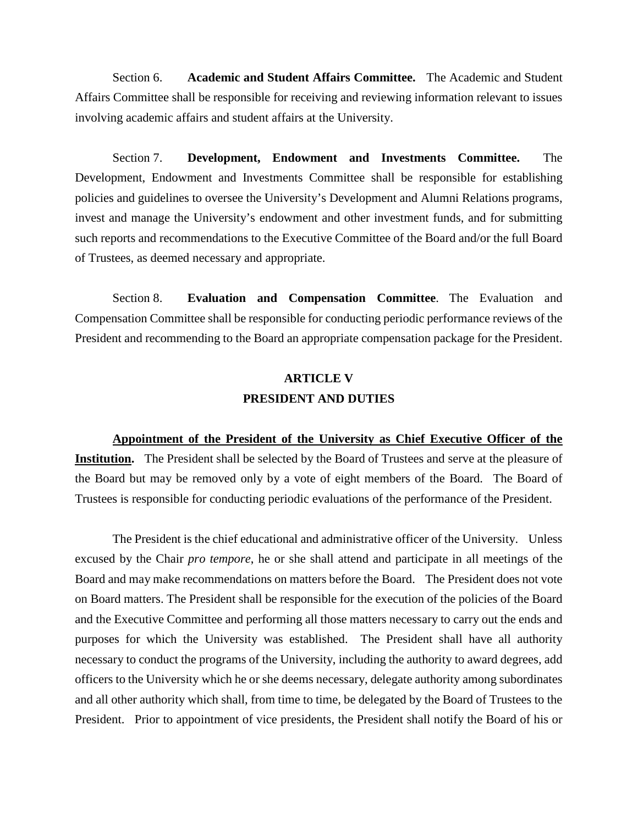Section 6. **Academic and Student Affairs Committee.** The Academic and Student Affairs Committee shall be responsible for receiving and reviewing information relevant to issues involving academic affairs and student affairs at the University.

Section 7. **Development, Endowment and Investments Committee.** The Development, Endowment and Investments Committee shall be responsible for establishing policies and guidelines to oversee the University's Development and Alumni Relations programs, invest and manage the University's endowment and other investment funds, and for submitting such reports and recommendations to the Executive Committee of the Board and/or the full Board of Trustees, as deemed necessary and appropriate.

Section 8. **Evaluation and Compensation Committee**. The Evaluation and Compensation Committee shall be responsible for conducting periodic performance reviews of the President and recommending to the Board an appropriate compensation package for the President.

### **ARTICLE V PRESIDENT AND DUTIES**

**Appointment of the President of the University as Chief Executive Officer of the Institution.** The President shall be selected by the Board of Trustees and serve at the pleasure of the Board but may be removed only by a vote of eight members of the Board. The Board of Trustees is responsible for conducting periodic evaluations of the performance of the President.

The President is the chief educational and administrative officer of the University. Unless excused by the Chair *pro tempore*, he or she shall attend and participate in all meetings of the Board and may make recommendations on matters before the Board. The President does not vote on Board matters. The President shall be responsible for the execution of the policies of the Board and the Executive Committee and performing all those matters necessary to carry out the ends and purposes for which the University was established. The President shall have all authority necessary to conduct the programs of the University, including the authority to award degrees, add officers to the University which he or she deems necessary, delegate authority among subordinates and all other authority which shall, from time to time, be delegated by the Board of Trustees to the President. Prior to appointment of vice presidents, the President shall notify the Board of his or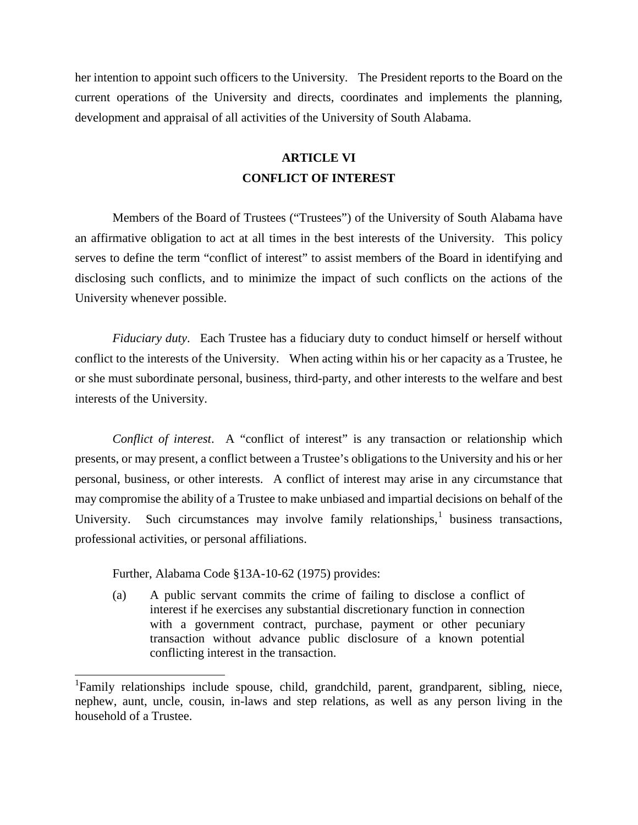her intention to appoint such officers to the University. The President reports to the Board on the current operations of the University and directs, coordinates and implements the planning, development and appraisal of all activities of the University of South Alabama.

### **ARTICLE VI CONFLICT OF INTEREST**

Members of the Board of Trustees ("Trustees") of the University of South Alabama have an affirmative obligation to act at all times in the best interests of the University. This policy serves to define the term "conflict of interest" to assist members of the Board in identifying and disclosing such conflicts, and to minimize the impact of such conflicts on the actions of the University whenever possible.

*Fiduciary duty*. Each Trustee has a fiduciary duty to conduct himself or herself without conflict to the interests of the University. When acting within his or her capacity as a Trustee, he or she must subordinate personal, business, third-party, and other interests to the welfare and best interests of the University.

*Conflict of interest*. A "conflict of interest" is any transaction or relationship which presents, or may present, a conflict between a Trustee's obligations to the University and his or her personal, business, or other interests. A conflict of interest may arise in any circumstance that may compromise the ability of a Trustee to make unbiased and impartial decisions on behalf of the University. Such circumstances may involve family relationships, business transactions, professional activities, or personal affiliations.

Further, Alabama Code §13A-10-62 (1975) provides:

(a) A public servant commits the crime of failing to disclose a conflict of interest if he exercises any substantial discretionary function in connection with a government contract, purchase, payment or other pecuniary transaction without advance public disclosure of a known potential conflicting interest in the transaction.

<span id="page-11-0"></span><sup>&</sup>lt;sup>1</sup>Family relationships include spouse, child, grandchild, parent, grandparent, sibling, niece, nephew, aunt, uncle, cousin, in-laws and step relations, as well as any person living in the household of a Trustee.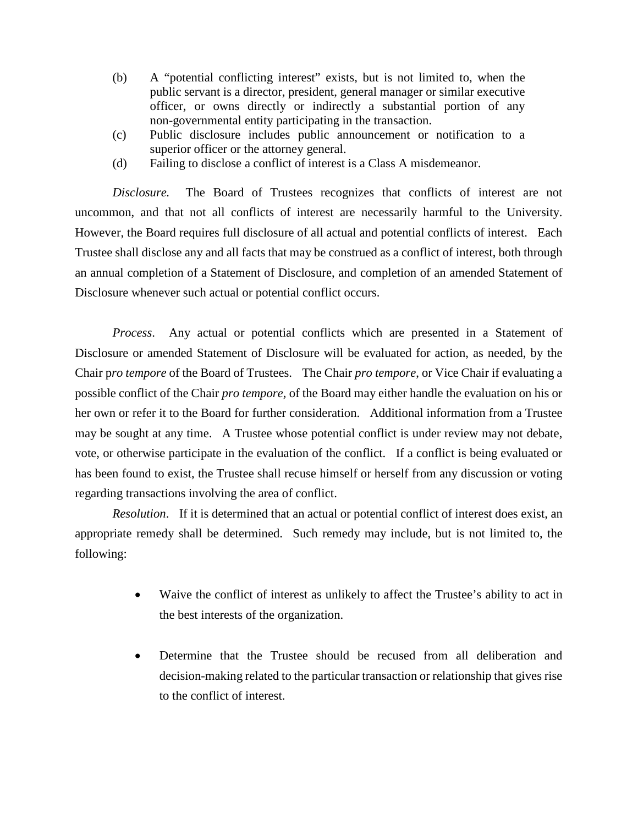- (b) A "potential conflicting interest" exists, but is not limited to, when the public servant is a director, president, general manager or similar executive officer, or owns directly or indirectly a substantial portion of any non-governmental entity participating in the transaction.
- (c) Public disclosure includes public announcement or notification to a superior officer or the attorney general.
- (d) Failing to disclose a conflict of interest is a Class A misdemeanor.

*Disclosure.* The Board of Trustees recognizes that conflicts of interest are not uncommon, and that not all conflicts of interest are necessarily harmful to the University. However, the Board requires full disclosure of all actual and potential conflicts of interest. Each Trustee shall disclose any and all facts that may be construed as a conflict of interest, both through an annual completion of a Statement of Disclosure, and completion of an amended Statement of Disclosure whenever such actual or potential conflict occurs.

*Process*. Any actual or potential conflicts which are presented in a Statement of Disclosure or amended Statement of Disclosure will be evaluated for action, as needed, by the Chair p*ro tempore* of the Board of Trustees. The Chair *pro tempore*, or Vice Chair if evaluating a possible conflict of the Chair *pro tempore,* of the Board may either handle the evaluation on his or her own or refer it to the Board for further consideration. Additional information from a Trustee may be sought at any time. A Trustee whose potential conflict is under review may not debate, vote, or otherwise participate in the evaluation of the conflict. If a conflict is being evaluated or has been found to exist, the Trustee shall recuse himself or herself from any discussion or voting regarding transactions involving the area of conflict.

*Resolution*. If it is determined that an actual or potential conflict of interest does exist, an appropriate remedy shall be determined. Such remedy may include, but is not limited to, the following:

- Waive the conflict of interest as unlikely to affect the Trustee's ability to act in the best interests of the organization.
- Determine that the Trustee should be recused from all deliberation and decision-making related to the particular transaction or relationship that gives rise to the conflict of interest.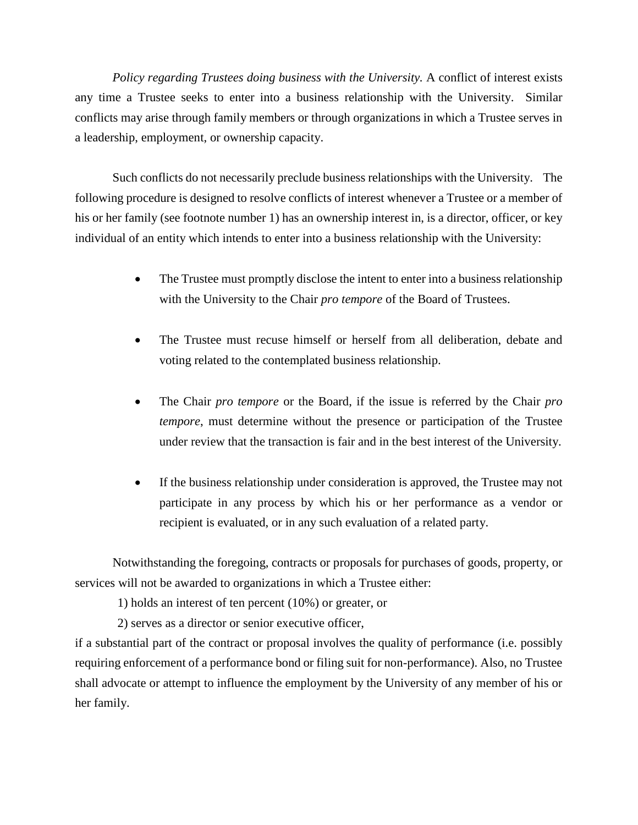*Policy regarding Trustees doing business with the University.* A conflict of interest exists any time a Trustee seeks to enter into a business relationship with the University. Similar conflicts may arise through family members or through organizations in which a Trustee serves in a leadership, employment, or ownership capacity.

Such conflicts do not necessarily preclude business relationships with the University. The following procedure is designed to resolve conflicts of interest whenever a Trustee or a member of his or her family (see footnote number 1) has an ownership interest in, is a director, officer, or key individual of an entity which intends to enter into a business relationship with the University:

- The Trustee must promptly disclose the intent to enter into a business relationship with the University to the Chair *pro tempore* of the Board of Trustees.
- The Trustee must recuse himself or herself from all deliberation, debate and voting related to the contemplated business relationship.
- The Chair *pro tempore* or the Board, if the issue is referred by the Chair *pro tempore*, must determine without the presence or participation of the Trustee under review that the transaction is fair and in the best interest of the University.
- If the business relationship under consideration is approved, the Trustee may not participate in any process by which his or her performance as a vendor or recipient is evaluated, or in any such evaluation of a related party.

Notwithstanding the foregoing, contracts or proposals for purchases of goods, property, or services will not be awarded to organizations in which a Trustee either:

1) holds an interest of ten percent (10%) or greater, or

2) serves as a director or senior executive officer,

if a substantial part of the contract or proposal involves the quality of performance (i.e. possibly requiring enforcement of a performance bond or filing suit for non-performance). Also, no Trustee shall advocate or attempt to influence the employment by the University of any member of his or her family.